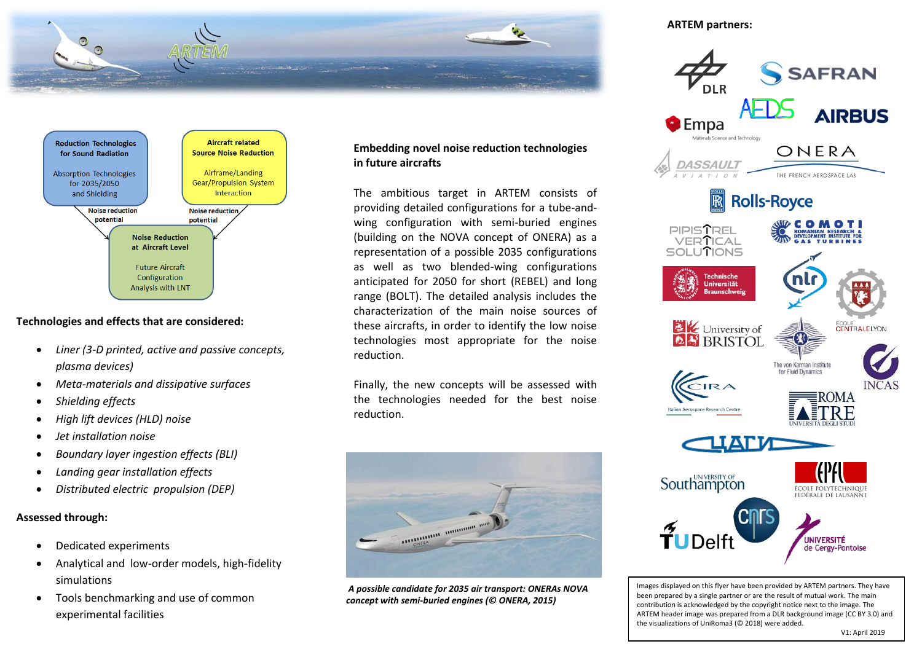



## **Technologies and effects that are considered:**

- *Liner (3-D printed, active and passive concepts, plasma devices)*
- *Meta-materials and dissipative surfaces*
- *Shielding effects*
- *High lift devices (HLD) noise*
- *Jet installation noise*
- *Boundary layer ingestion effects (BLI)*
- *Landing gear installation effects*
- *Distributed electric propulsion (DEP)*

## **Assessed through:**

- Dedicated experiments
- Analytical and low-order models, high-fidelity simulations
- Tools benchmarking and use of common experimental facilities

## **Embedding novel noise reduction technologies in future aircrafts**

The ambitious target in ARTEM consists of providing detailed configurations for a tube-andwing configuration with semi-buried engines (building on the NOVA concept of ONERA) as a representation of a possible 2035 configurations as well as two blended-wing configurations anticipated for 2050 for short (REBEL) and long range (BOLT). The detailed analysis includes the characterization of the main noise sources of these aircrafts, in order to identify the low noise technologies most appropriate for the noise reduction.

Finally, the new concepts will be assessed with the technologies needed for the best noise reduction.



*A possible candidate for 2035 air transport: ONERAs NOVA concept with semi-buried engines (© ONERA, 2015)*

### **ARTEM partners:**



Images displayed on this flyer have been provided by ARTEM partners. They have been prepared by a single partner or are the result of mutual work. The main contribution is acknowledged by the copyright notice next to the image. The ARTEM header image was prepared from a DLR background image (CC BY 3.0) and the visualizations of UniRoma3 (© 2018) were added.